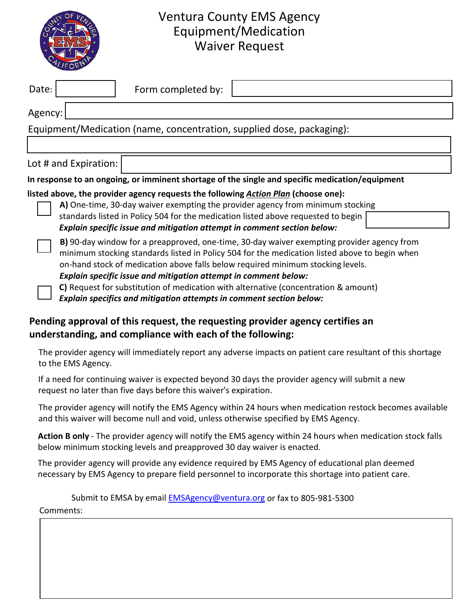

## Ventura County EMS Agency Equipment/Medication Waiver Request

| Date:                                                                                           |                                                                                                                                                                                                                                                                                                                                                   | Form completed by:                                                      |                                                                                     |  |  |  |  |  |
|-------------------------------------------------------------------------------------------------|---------------------------------------------------------------------------------------------------------------------------------------------------------------------------------------------------------------------------------------------------------------------------------------------------------------------------------------------------|-------------------------------------------------------------------------|-------------------------------------------------------------------------------------|--|--|--|--|--|
| Agency:                                                                                         |                                                                                                                                                                                                                                                                                                                                                   |                                                                         |                                                                                     |  |  |  |  |  |
| Equipment/Medication (name, concentration, supplied dose, packaging):                           |                                                                                                                                                                                                                                                                                                                                                   |                                                                         |                                                                                     |  |  |  |  |  |
|                                                                                                 |                                                                                                                                                                                                                                                                                                                                                   |                                                                         |                                                                                     |  |  |  |  |  |
| Lot # and Expiration:                                                                           |                                                                                                                                                                                                                                                                                                                                                   |                                                                         |                                                                                     |  |  |  |  |  |
| In response to an ongoing, or imminent shortage of the single and specific medication/equipment |                                                                                                                                                                                                                                                                                                                                                   |                                                                         |                                                                                     |  |  |  |  |  |
| listed above, the provider agency requests the following Action Plan (choose one):              |                                                                                                                                                                                                                                                                                                                                                   |                                                                         |                                                                                     |  |  |  |  |  |
| A) One-time, 30-day waiver exempting the provider agency from minimum stocking                  |                                                                                                                                                                                                                                                                                                                                                   |                                                                         |                                                                                     |  |  |  |  |  |
|                                                                                                 |                                                                                                                                                                                                                                                                                                                                                   |                                                                         | standards listed in Policy 504 for the medication listed above requested to begin   |  |  |  |  |  |
|                                                                                                 |                                                                                                                                                                                                                                                                                                                                                   | Explain specific issue and mitigation attempt in comment section below: |                                                                                     |  |  |  |  |  |
|                                                                                                 | B) 90-day window for a preapproved, one-time, 30-day waiver exempting provider agency from<br>minimum stocking standards listed in Policy 504 for the medication listed above to begin when<br>on-hand stock of medication above falls below required minimum stocking levels.<br>Explain specific issue and mitigation attempt in comment below: |                                                                         |                                                                                     |  |  |  |  |  |
|                                                                                                 |                                                                                                                                                                                                                                                                                                                                                   | Explain specifics and mitigation attempts in comment section below:     | C) Request for substitution of medication with alternative (concentration & amount) |  |  |  |  |  |

## **Pending approval of this request, the requesting provider agency certifies an understanding, and compliance with each of the following:**

The provider agency will immediately report any adverse impacts on patient care resultant of this shortage to the EMS Agency.

If a need for continuing waiver is expected beyond 30 days the provider agency will submit a new request no later than five days before this waiver's expiration.

The provider agency will notify the EMS Agency within 24 hours when medication restock becomes available and this waiver will become null and void, unless otherwise specified by EMS Agency.

**Action B only** - The provider agency will notify the EMS agency within 24 hours when medication stock falls below minimum stocking levels and preapproved 30 day waiver is enacted.

The provider agency will provide any evidence required by EMS Agency of educational plan deemed necessary by EMS Agency to prepare field personnel to incorporate this shortage into patient care.

Submit to EMSA by email **[EMSAgency@ventura.org](mailto:EMSAgency@ventura.org)** or fax to 805-981-5300 Comments: